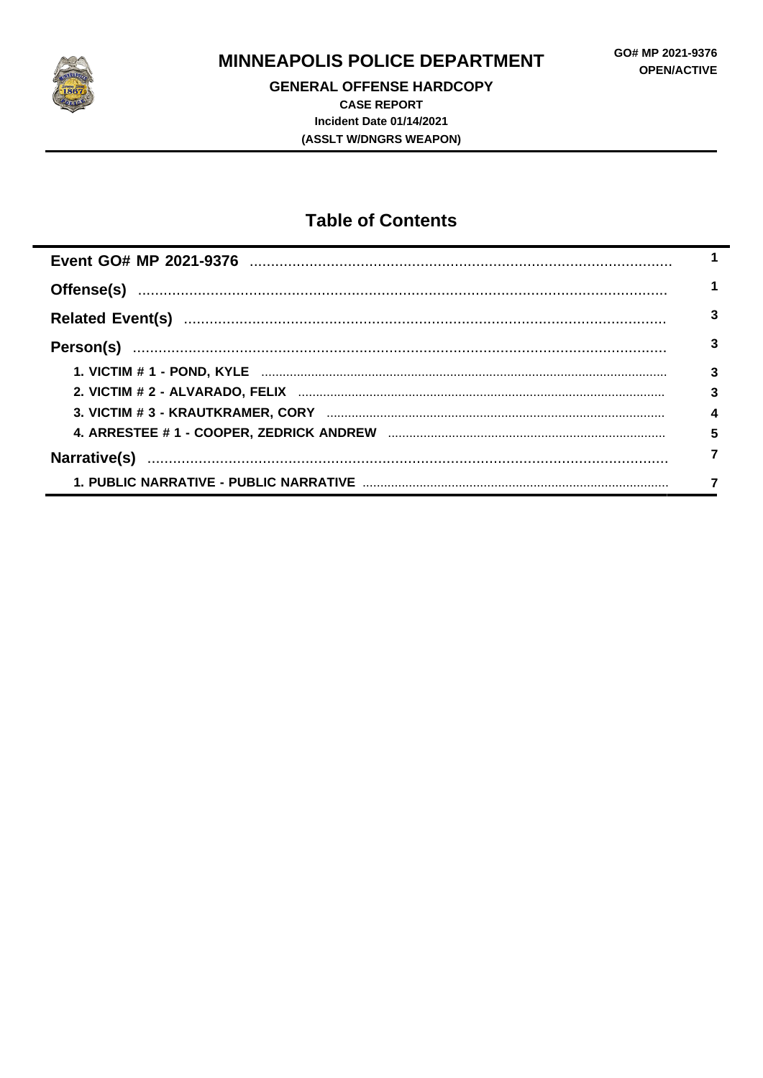

**GENERAL OFFENSE HARDCOPY CASE REPORT** Incident Date 01/14/2021 (ASSLT W/DNGRS WEAPON)

# **Table of Contents**

| 3 |
|---|
| 3 |
| 3 |
| 3 |
| 4 |
| 5 |
|   |
|   |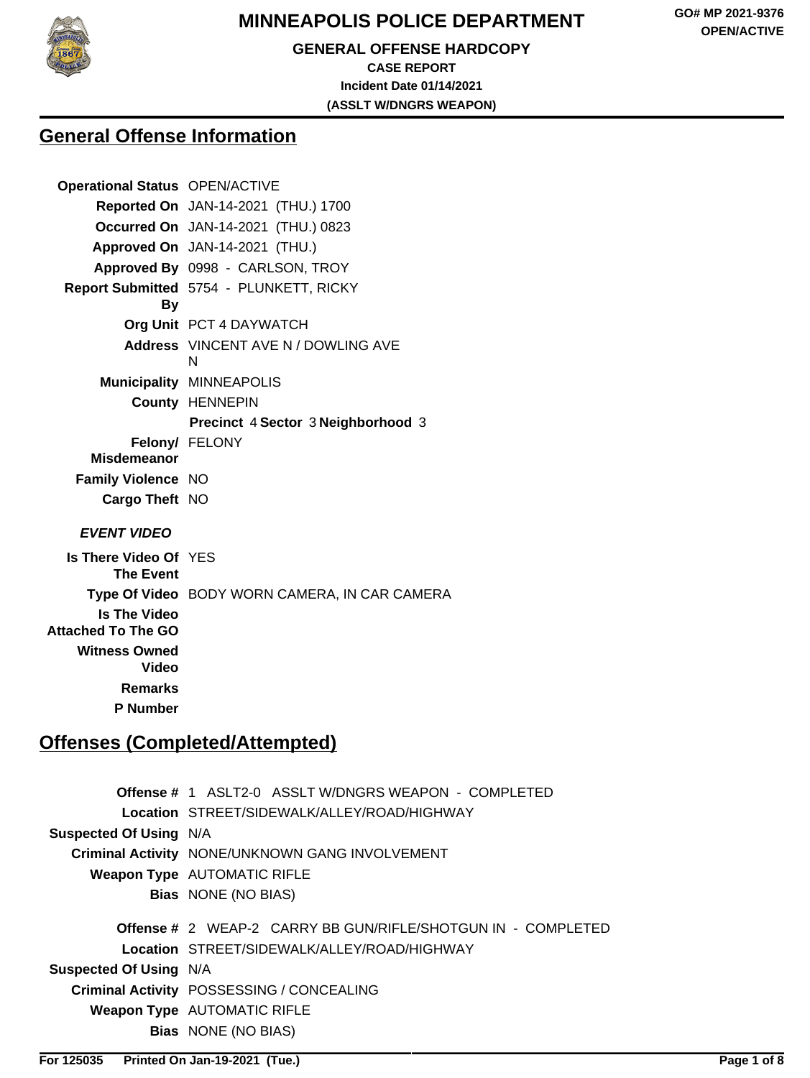

# **GENERAL OFFENSE HARDCOPY CASE REPORT**

**Incident Date 01/14/2021 (ASSLT W/DNGRS WEAPON)**

**General Offense Information**

| <b>Operational Status OPEN/ACTIVE</b>         |
|-----------------------------------------------|
| Reported On JAN-14-2021 (THU.) 1700           |
| Occurred On JAN-14-2021 (THU.) 0823           |
| Approved On JAN-14-2021 (THU.)                |
| Approved By 0998 - CARLSON, TROY              |
| Report Submitted 5754 - PLUNKETT, RICKY       |
| Org Unit PCT 4 DAYWATCH                       |
| Address VINCENT AVE N / DOWLING AVE<br>N      |
| <b>Municipality MINNEAPOLIS</b>               |
| <b>County HENNEPIN</b>                        |
| Precinct 4 Sector 3 Neighborhood 3            |
| Felony/ FELONY                                |
|                                               |
| <b>Family Violence NO</b>                     |
| Cargo Theft NO                                |
|                                               |
| Is There Video Of YES                         |
| Type Of Video BODY WORN CAMERA, IN CAR CAMERA |
|                                               |
|                                               |
|                                               |

**Remarks**

**P Number**

# **Offenses (Completed/Attempted)**

|                               | <b>Offense # 1 ASLT2-0 ASSLT W/DNGRS WEAPON - COMPLETED</b>         |
|-------------------------------|---------------------------------------------------------------------|
|                               | Location STREET/SIDEWALK/ALLEY/ROAD/HIGHWAY                         |
| <b>Suspected Of Using N/A</b> |                                                                     |
|                               | Criminal Activity NONE/UNKNOWN GANG INVOLVEMENT                     |
|                               | <b>Weapon Type AUTOMATIC RIFLE</b>                                  |
|                               | <b>Bias</b> NONE (NO BIAS)                                          |
|                               |                                                                     |
|                               | <b>Offense # 2 WEAP-2 CARRY BB GUN/RIFLE/SHOTGUN IN - COMPLETED</b> |
|                               | Location STREET/SIDEWALK/ALLEY/ROAD/HIGHWAY                         |
| <b>Suspected Of Using N/A</b> |                                                                     |
|                               |                                                                     |
|                               | Criminal Activity POSSESSING / CONCEALING                           |
|                               | <b>Weapon Type AUTOMATIC RIFLE</b>                                  |
|                               | <b>Bias</b> NONE (NO BIAS)                                          |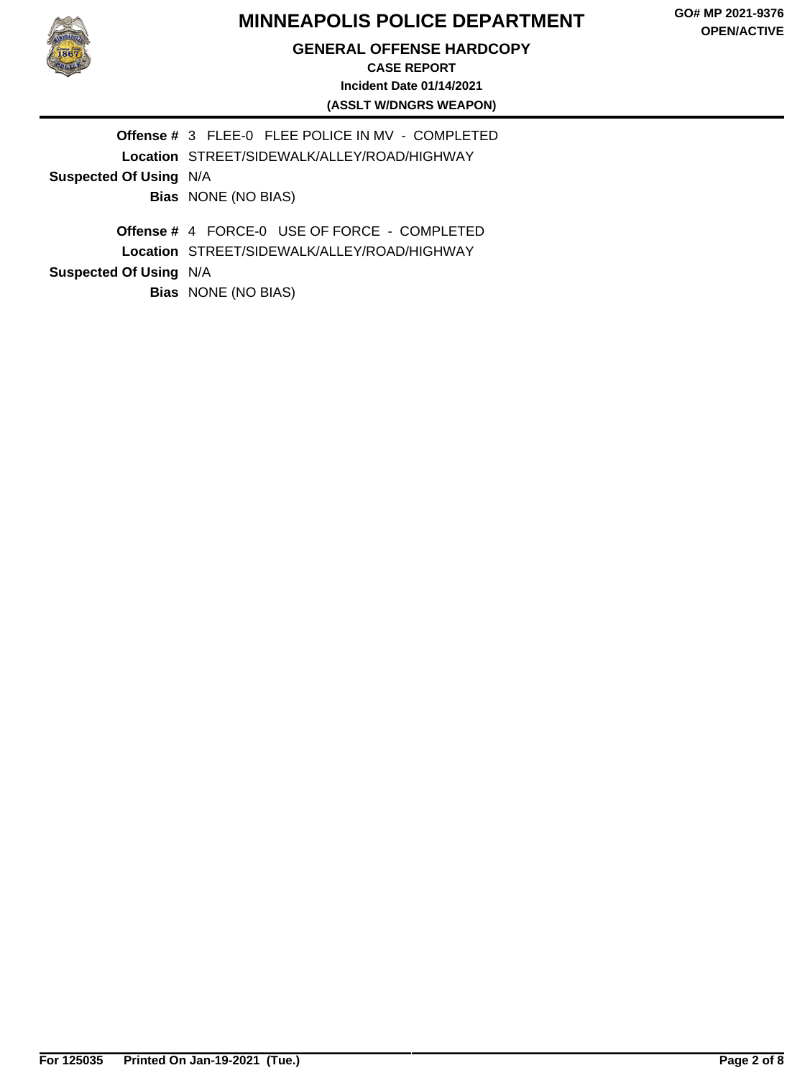#### **GENERAL OFFENSE HARDCOPY**

#### **CASE REPORT Incident Date 01/14/2021 (ASSLT W/DNGRS WEAPON)**

|                               | Offense # 3 FLEE-0 FLEE POLICE IN MV - COMPLETED                                                          |  |  |
|-------------------------------|-----------------------------------------------------------------------------------------------------------|--|--|
|                               | Location STREET/SIDEWALK/ALLEY/ROAD/HIGHWAY                                                               |  |  |
| <b>Suspected Of Using N/A</b> |                                                                                                           |  |  |
|                               | <b>Bias</b> NONE (NO BIAS)                                                                                |  |  |
| <b>Suspected Of Using N/A</b> | <b>Offense # 4 FORCE-0 USE OF FORCE - COMPLETED</b><br><b>Location STREET/SIDEWALK/ALLEY/ROAD/HIGHWAY</b> |  |  |
|                               | <b>Bias</b> NONE (NO BIAS)                                                                                |  |  |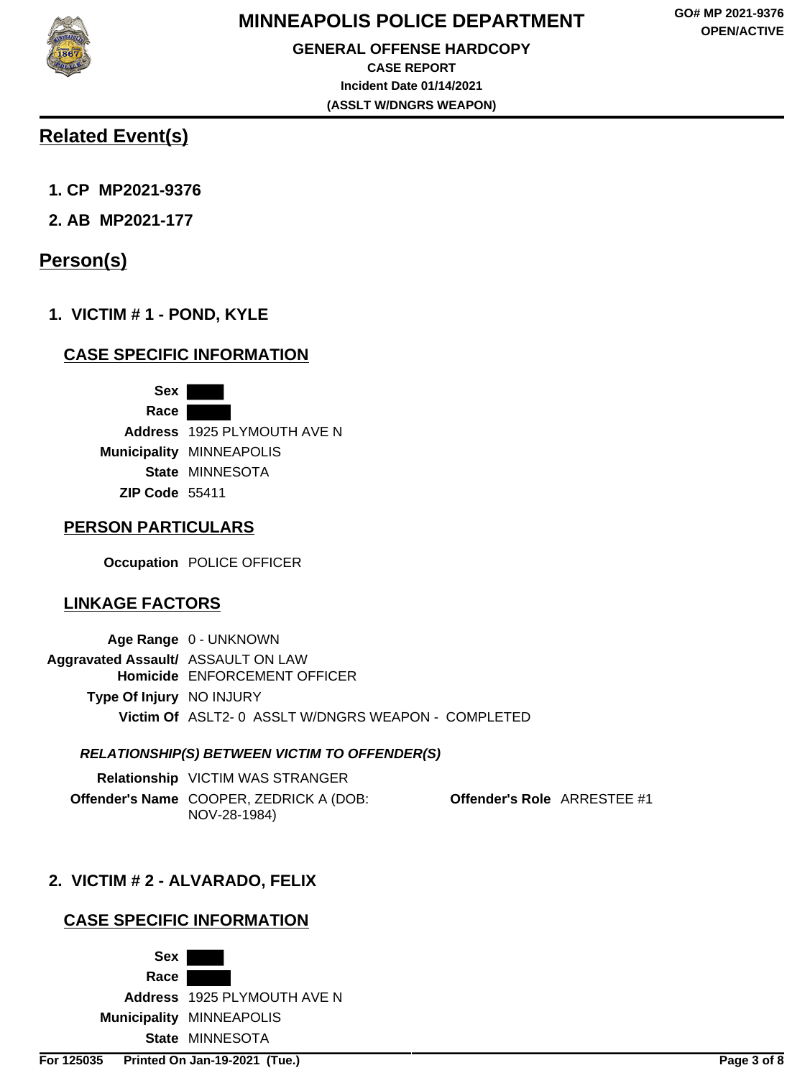

# **Related Event(s)**

- **1. CP MP2021-9376**
- **2. AB MP2021-177**

# **Person(s)**

**1. VICTIM # 1 - POND, KYLE**

## **CASE SPECIFIC INFORMATION**

**Sex Race Address** 1925 PLYMOUTH AVE N **Municipality** MINNEAPOLIS **State** MINNESOTA **ZIP Code** 55411

### **PERSON PARTICULARS**

**Occupation** POLICE OFFICER

## **LINKAGE FACTORS**

|                                           | Age Range 0 - UNKNOWN                              |
|-------------------------------------------|----------------------------------------------------|
| <b>Aggravated Assault/ ASSAULT ON LAW</b> |                                                    |
|                                           | Homicide ENFORCEMENT OFFICER                       |
| <b>Type Of Injury NO INJURY</b>           |                                                    |
|                                           | Victim Of ASLT2-0 ASSLT W/DNGRS WEAPON - COMPLETED |

#### **RELATIONSHIP(S) BETWEEN VICTIM TO OFFENDER(S)**

| Relationship VICTIM WAS STRANGER                        |
|---------------------------------------------------------|
| Offender's Name COOPER, ZEDRICK A (DOB:<br>NOV-28-1984) |

**Offender's Role** ARRESTEE #1

## **2. VICTIM # 2 - ALVARADO, FELIX**

## **CASE SPECIFIC INFORMATION**

**Sex Race Address** 1925 PLYMOUTH AVE N **Municipality** MINNEAPOLIS **State** MINNESOTA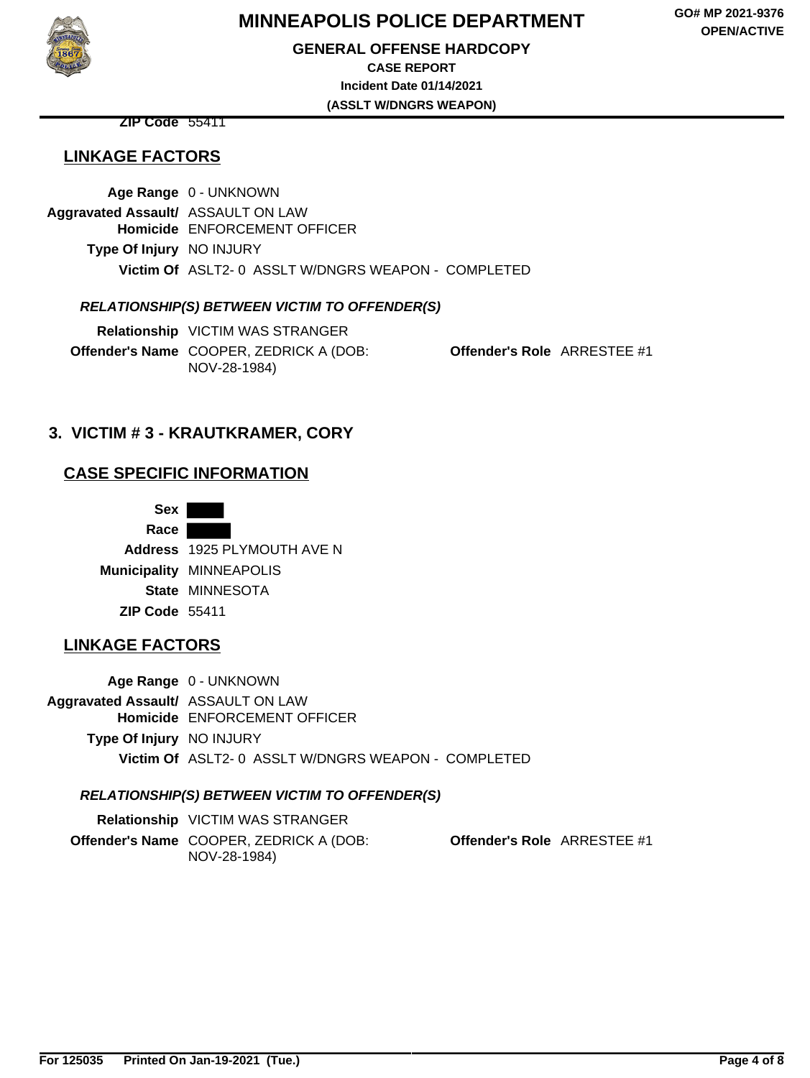#### **GENERAL OFFENSE HARDCOPY**

**CASE REPORT Incident Date 01/14/2021**

**(ASSLT W/DNGRS WEAPON)**

**ZIP Code** 55411

## **LINKAGE FACTORS**

**Age Range** 0 - UNKNOWN **Aggravated Assault/** ASSAULT ON LAW **Homicide** ENFORCEMENT OFFICER **Type Of Injury** NO INJURY **Victim Of** ASLT2- 0 ASSLT W/DNGRS WEAPON - COMPLETED

#### **RELATIONSHIP(S) BETWEEN VICTIM TO OFFENDER(S)**

**Relationship** VICTIM WAS STRANGER **Offender's Name** COOPER, ZEDRICK A (DOB: NOV-28-1984)

**Offender's Role** ARRESTEE #1

### **3. VICTIM # 3 - KRAUTKRAMER, CORY**

#### **CASE SPECIFIC INFORMATION**

**Sex Race Address** 1925 PLYMOUTH AVE N **Municipality** MINNEAPOLIS **State** MINNESOTA **ZIP Code** 55411

### **LINKAGE FACTORS**

**Age Range** 0 - UNKNOWN **Aggravated Assault/** ASSAULT ON LAW **Homicide** ENFORCEMENT OFFICER **Type Of Injury** NO INJURY **Victim Of** ASLT2- 0 ASSLT W/DNGRS WEAPON - COMPLETED

#### **RELATIONSHIP(S) BETWEEN VICTIM TO OFFENDER(S)**

**Relationship** VICTIM WAS STRANGER **Offender's Name** COOPER, ZEDRICK A (DOB: NOV-28-1984) **Offender's Role** ARRESTEE #1



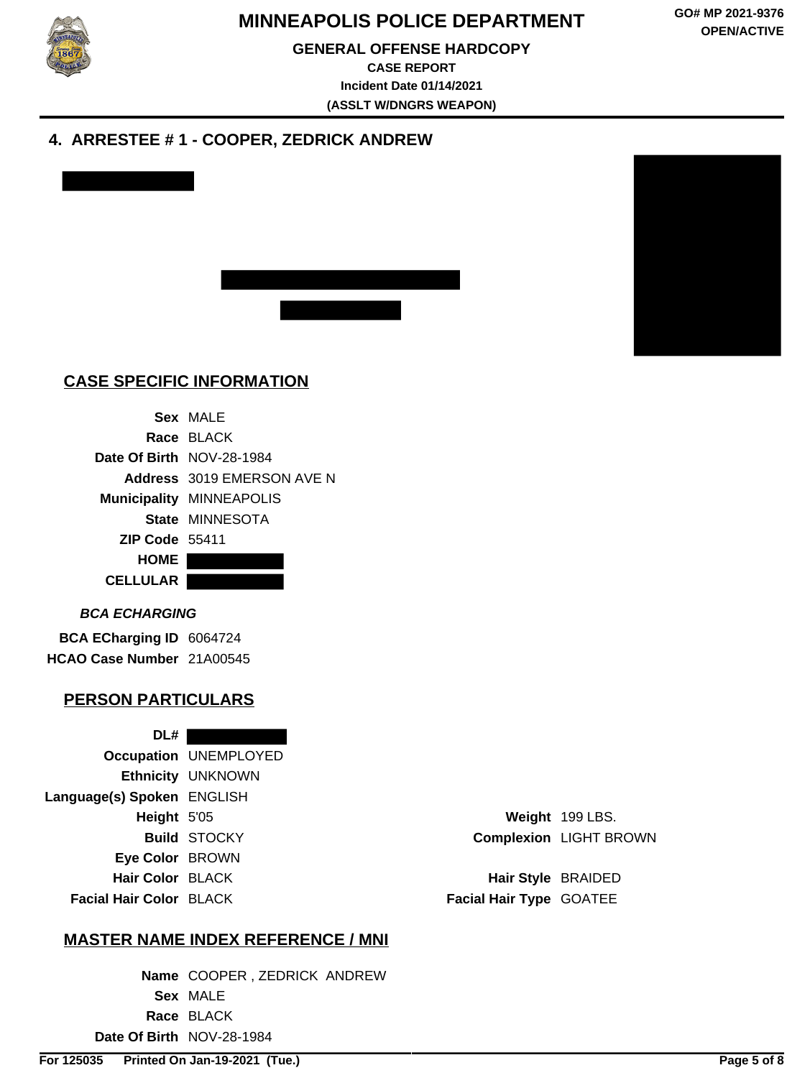

#### **GENERAL OFFENSE HARDCOPY**

**CASE REPORT Incident Date 01/14/2021 (ASSLT W/DNGRS WEAPON)**

### **4. ARRESTEE # 1 - COOPER, ZEDRICK ANDREW**





## **CASE SPECIFIC INFORMATION**

|                       | Sex MAIF                        |
|-----------------------|---------------------------------|
|                       | Race BLACK                      |
|                       | Date Of Birth NOV-28-1984       |
|                       | Address 3019 EMERSON AVE N      |
|                       | <b>Municipality MINNEAPOLIS</b> |
|                       | State MINNESOTA                 |
| <b>ZIP Code 55411</b> |                                 |
| HOME                  |                                 |
| <b>CELLULAR</b>       |                                 |
|                       |                                 |

#### **BCA ECHARGING**

**BCA ECharging ID** 6064724 **HCAO Case Number** 21A00545

#### **PERSON PARTICULARS**

**DL# Occupation** UNEMPLOYED **Ethnicity** UNKNOWN **Language(s) Spoken** ENGLISH **Height** 5'05 **Weight** 199 LBS. **Eye Color** BROWN **Hair Color** BLACK **Hair Style** BRAIDED **Facial Hair Color** BLACK **Facial Hair Type** GOATEE

**Build** STOCKY **Complexion** LIGHT BROWN

#### **MASTER NAME INDEX REFERENCE / MNI**

**Name** COOPER , ZEDRICK ANDREW **Sex** MALE **Race** BLACK **Date Of Birth** NOV-28-1984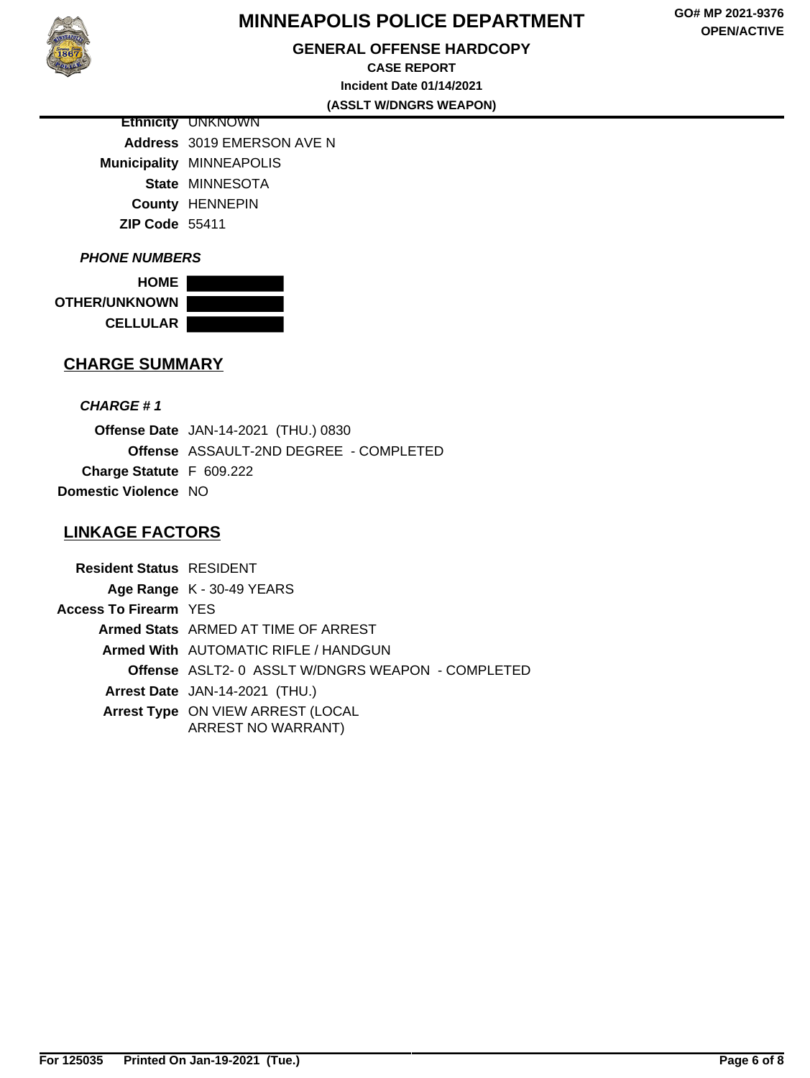

## **GENERAL OFFENSE HARDCOPY**

**GO# MP 2021-9376 OPEN/ACTIVE**

**CASE REPORT Incident Date 01/14/2021 (ASSLT W/DNGRS WEAPON)**

**Ethnicity** UNKNOWN **Address** 3019 EMERSON AVE N **Municipality** MINNEAPOLIS **State** MINNESOTA **County** HENNEPIN **ZIP Code** 55411

#### **PHONE NUMBERS**

**HOME OTHER/UNKNOWN CELLULAR**



#### **CHARGE SUMMARY**

#### **CHARGE # 1**

**Offense Date** JAN-14-2021 (THU.) 0830 **Offense** ASSAULT-2ND DEGREE - COMPLETED **Charge Statute** F 609.222 **Domestic Violence** NO

## **LINKAGE FACTORS**

**Resident Status** RESIDENT **Age Range** K - 30-49 YEARS **Access To Firearm** YES **Armed Stats** ARMED AT TIME OF ARREST **Armed With** AUTOMATIC RIFLE / HANDGUN **Offense** ASLT2- 0 ASSLT W/DNGRS WEAPON - COMPLETED **Arrest Date** JAN-14-2021 (THU.) **Arrest Type** ON VIEW ARREST (LOCAL ARREST NO WARRANT)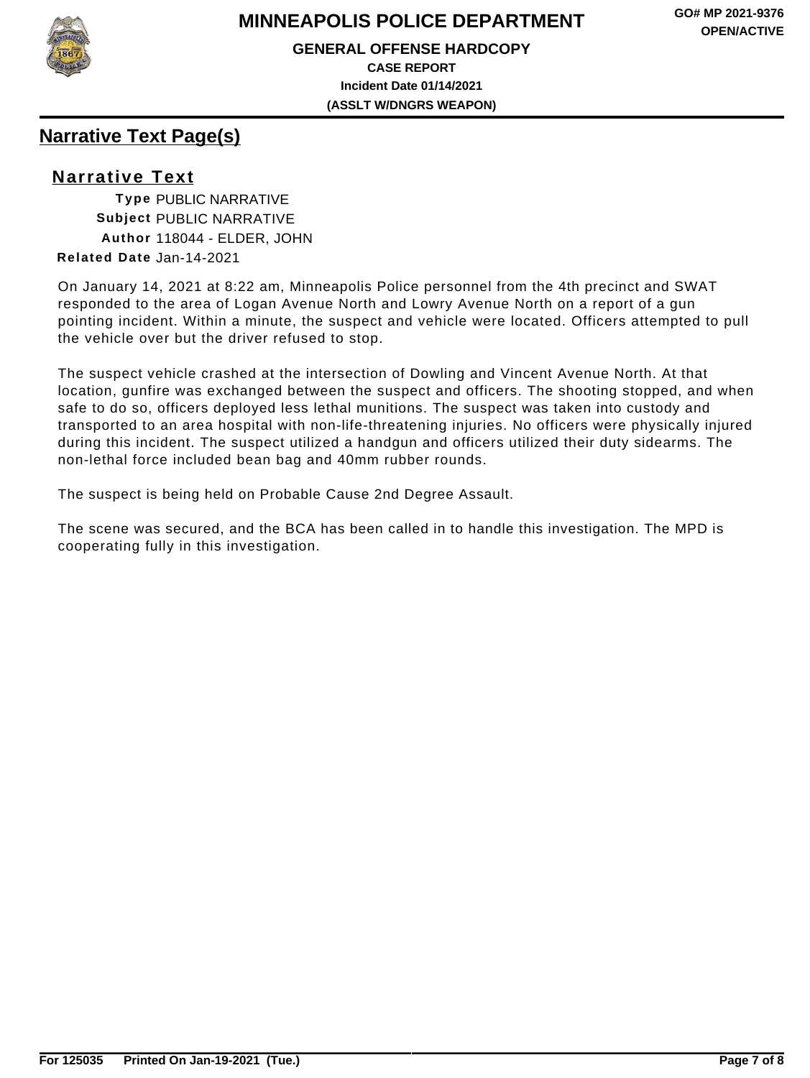

**GENERAL OFFENSE HARDCOPY CASE REPORT Incident Date 01/14/2021 (ASSLT W/DNGRS WEAPON)**

# **Narrative Text Page(s)**

## **Narrative Text**

**Type** PUBLIC NARRATIVE **Subject** PUBLIC NARRATIVE **Author** 118044 - ELDER, JOHN **Related Date** Jan-14-2021

On January 14, 2021 at 8:22 am, Minneapolis Police personnel from the 4th precinct and SWAT responded to the area of Logan Avenue North and Lowry Avenue North on a report of a gun pointing incident. Within a minute, the suspect and vehicle were located. Officers attempted to pull the vehicle over but the driver refused to stop.

The suspect vehicle crashed at the intersection of Dowling and Vincent Avenue North. At that location, gunfire was exchanged between the suspect and officers. The shooting stopped, and when safe to do so, officers deployed less lethal munitions. The suspect was taken into custody and transported to an area hospital with non-life-threatening injuries. No officers were physically injured during this incident. The suspect utilized a handgun and officers utilized their duty sidearms. The non-lethal force included bean bag and 40mm rubber rounds.

The suspect is being held on Probable Cause 2nd Degree Assault.

The scene was secured, and the BCA has been called in to handle this investigation. The MPD is cooperating fully in this investigation.